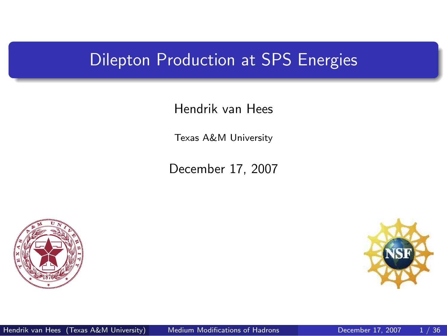### Dilepton Production at SPS Energies

Hendrik van Hees

Texas A&M University

December 17, 2007



<span id="page-0-0"></span>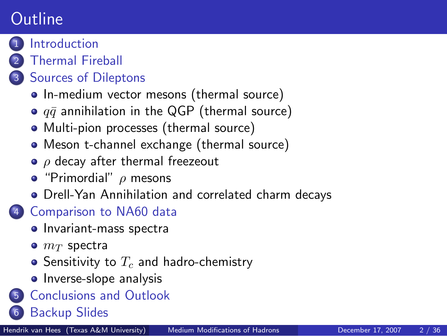# **Outline**



#### **[Introduction](#page-2-0)**

#### 2 [Thermal Fireball](#page-4-0)

#### [Sources of Dileptons](#page-6-0)

- [In-medium vector mesons \(thermal source\)](#page-6-0)
- $\bullet$   $q\bar{q}$  [annihilation in the QGP \(thermal source\)](#page-7-0)
- [Multi-pion processes \(thermal source\)](#page-8-0)
- [Meson t-channel exchange \(thermal source\)](#page-9-0)
- $\bullet$   $\rho$  [decay after thermal freezeout](#page-11-0)
- $\bullet$  ["Primordial"](#page-12-0)  $\rho$  mesons
- [Drell-Yan Annihilation and correlated charm decays](#page-13-0)

### 4 [Comparison to NA60 data](#page-15-0)

- [Invariant-mass spectra](#page-15-0)
- $\bullet$   $m_T$  [spectra](#page-19-0)
- Sensitivity to  $T_c$  [and hadro-chemistry](#page-22-0)
- [Inverse-slope analysis](#page-27-0)
- 5 [Conclusions and Outlook](#page-32-0)
- 6 [Backup Slides](#page-35-0)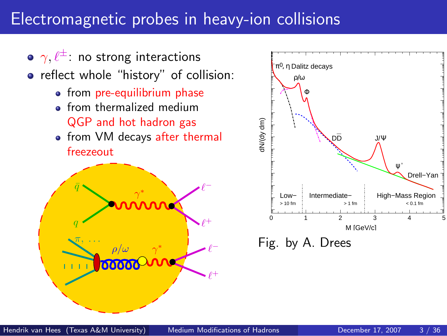### Electromagnetic probes in heavy-ion collisions

<span id="page-2-0"></span>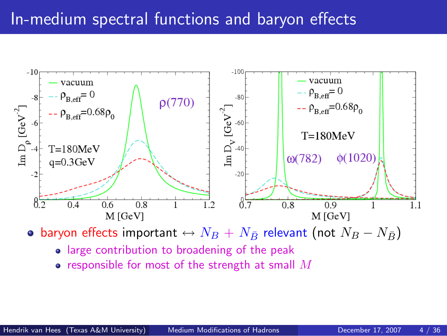## In-medium spectral functions and baryon effects



• baryon effects important  $\leftrightarrow N_B + N_{\bar{B}}$  relevant (not  $N_B - N_{\bar{B}}$ )

- large contribution to broadening of the peak
- responsible for most of the strength at small  $M$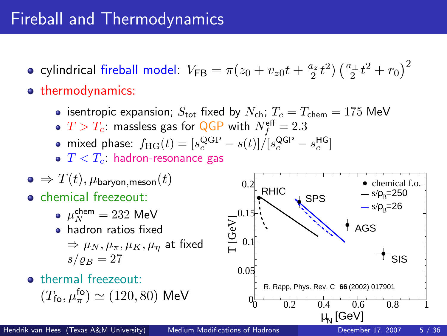# Fireball and Thermodynamics

- cylindrical fireball model:  $V_{\sf FB} = \pi(z_0+v_{z0}t+\frac{a_z}{2}t^2)\left(\frac{a_\perp}{2}t^2+r_0\right)^2$
- **o** thermodynamics:
	- **isentropic expansion**;  $S_{\text{tot}}$  fixed by  $N_{\text{ch}}$ ;  $T_c = T_{\text{chem}} = 175 \text{ MeV}$
	- $T>T_c$ : massless gas for QGP with  $N_f^{\mathsf{eff}}=2.3$
	- mixed phase:  $f_{\text{HG}}(t) = [s_c^{\text{QGP}} s(t)]/[s_c^{\text{QGP}} s_c^{\text{HG}}]$
	- $T < T_c$ : hadron-resonance gas

$$
\bullet\,\Rightarrow T(t),\mu_{\rm baryon, meson}(t)
$$

- **o** chemical freezeout:
	- $\mu_N^{\mathsf{chem}} = 232 \; \mathsf{MeV}$
	- **a** hadron ratios fixed  $\Rightarrow \mu_N, \mu_\pi, \mu_K, \mu_n$  at fixed  $s/\rho_B = 27$
- **o** thermal freezeout:  $(T_{\text{fo}}, \mu_{\pi}^{\text{fo}}) \simeq (120, 80) \text{ MeV}$

<span id="page-4-0"></span>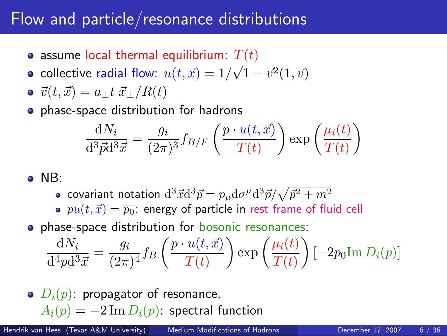# Flow and particle/resonance distributions

- assume local thermal equilibrium:  $T(t)$  $\mathbf{A}_{\mu}$
- collective radial flow:  $u(t,\vec{x}) = 1/3$  $1 - \vec{v}^2(1, \vec{v})$
- $\vec{v}(t, \vec{x}) = a_{\perp} t \vec{x}_{\perp}/R(t)$
- **•** phase-space distribution for hadrons

$$
\frac{\mathrm{d}N_i}{\mathrm{d}^3 \vec{p} \mathrm{d}^3 \vec{x}} = \frac{g_i}{(2\pi)^3} f_{B/F}\left(\frac{p \cdot u(t, \vec{x})}{T(t)}\right) \exp\left(\frac{\mu_i(t)}{T(t)}\right)
$$

- $\bullet$  NB:
	- covariant notation  $\mathrm{d}^3\vec{x}\mathrm{d}^3\vec{p} = p_\mu \mathrm{d}\sigma^\mu \mathrm{d}^3\vec{p} / \sqrt{\vec{p}^2 + m^2}$
	- $pu(t, \vec{x}) = \overline{p_0}$ : energy of particle in rest frame of fluid cell
- **•** phase-space distribution for bosonic resonances:

$$
\frac{\mathrm{d}N_i}{\mathrm{d}^4 p \mathrm{d}^3 \vec{x}} = \frac{g_i}{(2\pi)^4} f_B\left(\frac{p \cdot u(t, \vec{x})}{T(t)}\right) \exp\left(\frac{\mu_i(t)}{T(t)}\right) \left[-2p_0 \mathrm{Im}\, D_i(p)\right]
$$

 $\bullet$   $D_i(p)$ : propagator of resonance,  $A_i(p) = -2 \operatorname{Im} D_i(p)$ : spectral function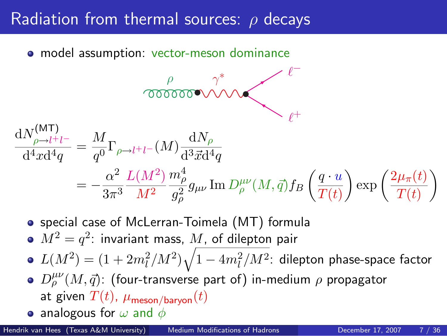### Radiation from thermal sources:  $\rho$  decays

• model assumption: vector-meson dominance

$$
\frac{\rho}{dN_{\rho \to l^+l^-}^{(\rm MT)}} = \frac{M}{q^0} \Gamma_{\rho \to l^+l^-} (M) \frac{dN_\rho}{d^3 \vec{x} d^4 q} = -\frac{\alpha^2}{3\pi^3} \frac{L(M^2)}{M^2} \frac{m_\rho^4}{g_\rho^2} g_{\mu\nu} \operatorname{Im} D_\rho^{\mu\nu} (M, \vec{q}) f_B \left(\frac{q \cdot u}{T(t)}\right) \exp\left(\frac{2\mu_\pi(t)}{T(t)}\right)
$$

<span id="page-6-0"></span><sup>ℓ</sup><sup>−</sup>

• special case of McLerran-Toimela (MT) formula

 $M^2=q^2$ : invariant mass,  $M$ , of dilepton pair

 $L(M^2) = (1 + 2 m_l^2/M^2) \sqrt{1 - 4 m_l^2/M^2}$ : dilepton phase-space factor

- $D_{\rho}^{\mu\nu}(M,\vec{q})$ : (four-transverse part of) in-medium  $\rho$  propagator at given  $T(t)$ ,  $\mu_{\text{meson/harvon}}(t)$
- analogous for  $\omega$  and  $\phi$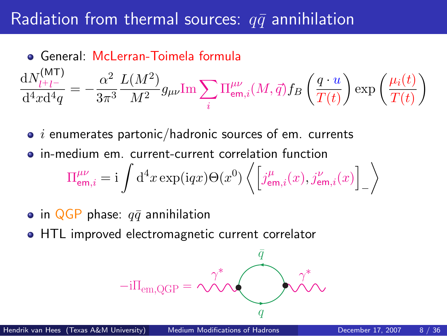### Radiation from thermal sources:  $q\bar{q}$  annihilation

$$
\begin{aligned} \bullet \text{ General: } \text{McLerran-Toimela formula}\\ \frac{\mathrm{d}N_{l^+l^-}}{\mathrm{d}^4x\mathrm{d}^4q} &=-\frac{\alpha^2}{3\pi^3}\frac{L(M^2)}{M^2}g_{\mu\nu}\mathrm{Im}\sum_i \Pi^{\mu\nu}_{\mathrm{em},i}(M,\vec{q})f_B\left(\frac{q\cdot u}{T(t)}\right)\exp\left(\frac{\mu_i(t)}{T(t)}\right) \end{aligned}
$$

- $\bullet$  *i* enumerates partonic/hadronic sources of em. currents
- in-medium em. current-current correlation function  $\Pi^{\mu\nu}_{{\sf em},i}={\rm i}\,\int{\rm d}^4x\exp({\rm i}qx)\Theta(x^0)\left\langle\left[\begin{matrix}j^\mu_{{\sf em},i}(x),j^\nu_{{\sf em},i}(x)\end{matrix}\right]\right.$ −  $\setminus$
- in QGP phase:  $q\bar{q}$  annihilation
- HTL improved electromagnetic current correlator

<span id="page-7-0"></span>
$$
-i\Pi_{em,QGP} = \underbrace{\gamma^*}_{q} \underbrace{\overbrace{\mathbf{q}}^{\overline{q}}}_{q}
$$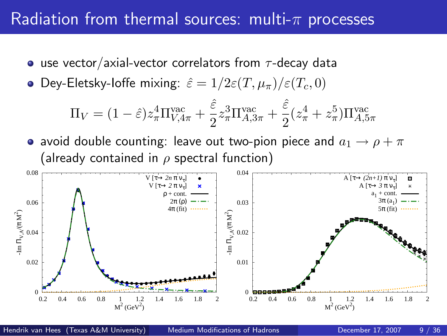### Radiation from thermal sources: multi- $\pi$  processes

- use vector/axial-vector correlators from  $\tau$ -decay data
- Dey-Eletsky-loffe mixing:  $\hat{\varepsilon} = 1/2 \varepsilon (T, \mu_\pi)/\varepsilon (T_c, 0)$

<span id="page-8-0"></span>
$$
\Pi_V = (1 - \hat{\varepsilon}) z_\pi^4 \Pi_{V,4\pi}^{\text{vac}} + \frac{\hat{\varepsilon}}{2} z_\pi^3 \Pi_{A,3\pi}^{\text{vac}} + \frac{\hat{\varepsilon}}{2} (z_\pi^4 + z_\pi^5) \Pi_{A,5\pi}^{\text{vac}}
$$

• avoid double counting: leave out two-pion piece and  $a_1 \rightarrow \rho + \pi$ (already contained in  $\rho$  spectral function)

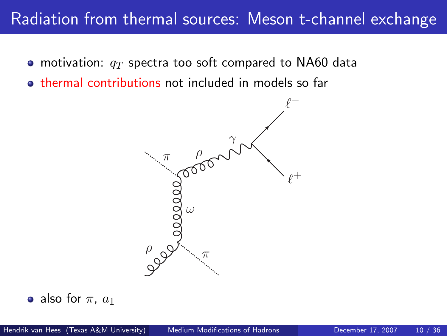### Radiation from thermal sources: Meson t-channel exchange

- motivation:  $q_T$  spectra too soft compared to NA60 data
- **thermal contributions not included in models so far**

<span id="page-9-0"></span>

• also for  $\pi$ ,  $a_1$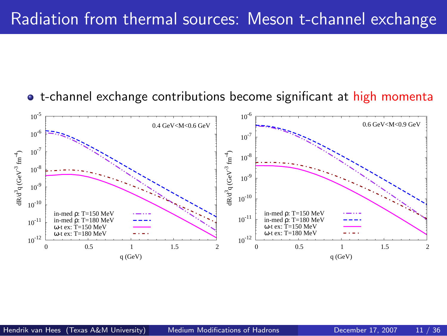

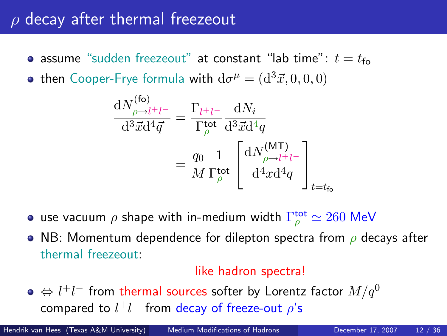# $\rho$  decay after thermal freezeout

- assume "sudden freezeout" at constant "lab time":  $t = t_{\text{fo}}$
- then Cooper-Frye formula with  $d\sigma^\mu=(d^3\vec{x},0,0,0)$

$$
\frac{dN_{\rho \to l^+l^-}^{(\text{fo})}}{d^3 \vec{x} d^4 \vec{q}} = \frac{\Gamma_{l^+l^-}}{\Gamma_{\rho}^{\text{tot}}} \frac{dN_i}{d^3 \vec{x} d^4 q}
$$
\n
$$
= \frac{q_0}{M} \frac{1}{\Gamma_{\rho}^{\text{tot}}} \left[ \frac{dN_{\rho \to l^+l^-}^{(\text{MT})}}{d^4 x d^4 q} \right]_{t=t_{\text{fo}}}
$$

- use vacuum  $\rho$  shape with in-medium width  $\Gamma_{\rho}^{\rm tot}$   $\simeq 260$  MeV
- NB: Momentum dependence for dilepton spectra from  $\rho$  decays after thermal freezeout:

#### <span id="page-11-0"></span>like hadron spectra!

 $\Leftrightarrow l^+l^-$  from thermal sources softer by Lorentz factor  $M/q^0$ compared to  $l^+l^-$  from decay of freeze-out  $\rho$ 's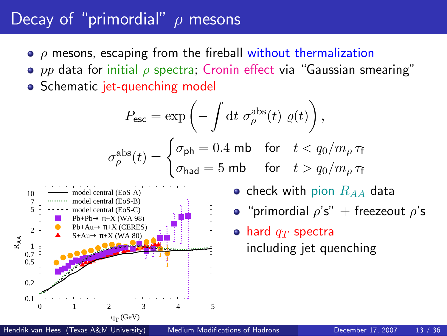# Decay of "primordial"  $\rho$  mesons

- $\bullet$   $\rho$  mesons, escaping from the fireball without thermalization
- **•** pp data for initial  $\rho$  spectra; Cronin effect via "Gaussian smearing"
- Schematic jet-quenching model

$$
P_{\text{esc}} = \exp\left(-\int \mathrm{d}t \ \sigma^{\text{abs}}_{\rho}(t) \ \varrho(t)\right),
$$

$$
\sigma^{\text{abs}}_{\rho}(t) = \begin{cases} \sigma_{\text{ph}} = 0.4 \text{ mb} & \text{for} \quad t < q_0/m_{\rho} \,\tau_{\text{f}} \\ \sigma_{\text{had}} = 5 \text{ mb} & \text{for} \quad t > q_0/m_{\rho} \,\tau_{\text{f}} \end{cases}
$$



- check with pion  $R_{AA}$  data
- "primordial  $\rho's''$  + freezeout  $\rho's$

#### <span id="page-12-0"></span> $\bullet$  hard  $q_T$  spectra including jet quenching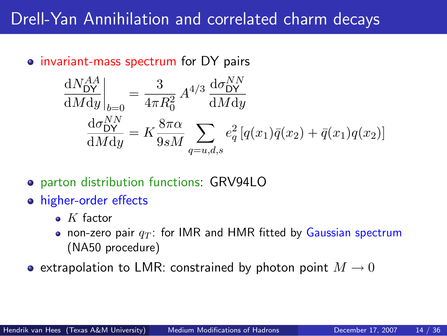## Drell-Yan Annihilation and correlated charm decays

#### • invariant-mass spectrum for DY pairs

$$
\frac{dN_{DY}^{AA}}{dMdy}\bigg|_{b=0} = \frac{3}{4\pi R_0^2} A^{4/3} \frac{d\sigma_{DY}^{NN}}{dMdy}
$$
\n
$$
\frac{d\sigma_{DY}^{NN}}{dMdy} = K \frac{8\pi\alpha}{9sM} \sum_{q=u,d,s} e_q^2 [q(x_1)\bar{q}(x_2) + \bar{q}(x_1)q(x_2)]
$$

- parton distribution functions: GRV94LO
- higher-order effects
	- $\bullet$  K factor
	- non-zero pair  $q_T$ : for IMR and HMR fitted by Gaussian spectrum (NA50 procedure)
- <span id="page-13-0"></span>• extrapolation to LMR: constrained by photon point  $M \to 0$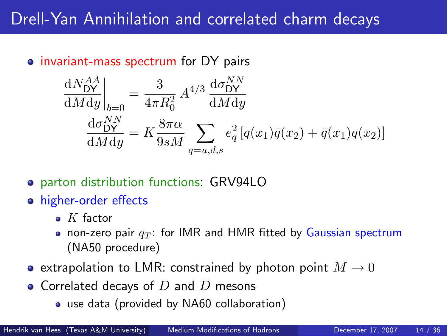# Drell-Yan Annihilation and correlated charm decays

#### • invariant-mass spectrum for DY pairs

$$
\frac{dN_{DY}^{AA}}{dMdy}\bigg|_{b=0} = \frac{3}{4\pi R_0^2} A^{4/3} \frac{d\sigma_{DY}^{NN}}{dMdy}
$$
\n
$$
\frac{d\sigma_{DY}^{NN}}{dMdy} = K \frac{8\pi\alpha}{9sM} \sum_{q=u,d,s} e_q^2 [q(x_1)\bar{q}(x_2) + \bar{q}(x_1)q(x_2)]
$$

- parton distribution functions: GRV94LO
- higher-order effects
	- $\bullet$  K factor
	- non-zero pair  $q_T$ : for IMR and HMR fitted by Gaussian spectrum (NA50 procedure)
- extrapolation to LMR: constrained by photon point  $M \to 0$
- Correlated decays of  $D$  and  $D$  mesons
	- use data (provided by NA60 collaboration)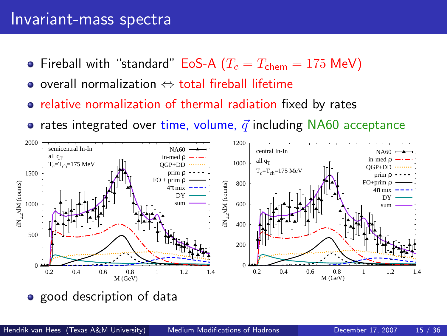#### Invariant-mass spectra

- Fireball with "standard" EoS-A ( $T_c = T_{\text{chem}} = 175 \text{ MeV}$ )
- overall normalization ⇔ total fireball lifetime
- relative normalization of thermal radiation fixed by rates
- rates integrated over time, volume,  $\vec{q}$  including NA60 acceptance



<span id="page-15-0"></span>• good description of data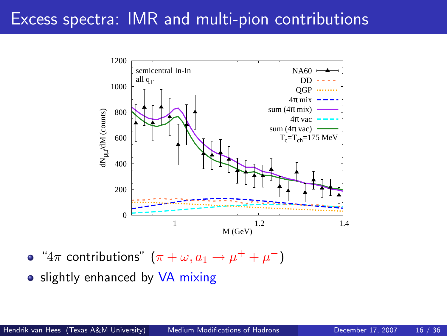### Excess spectra: IMR and multi-pion contributions



" $4\pi$  contributions"  $(\pi + \omega, a_1 \rightarrow \mu^+ + \mu^-)$ 

• slightly enhanced by VA mixing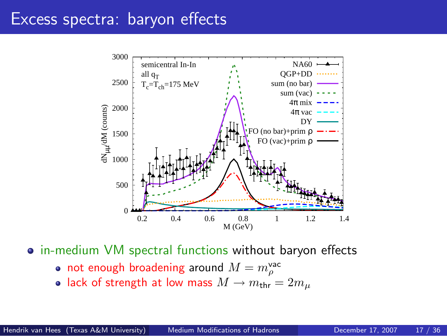### Excess spectra: baryon effects



• in-medium VM spectral functions without baryon effects

- not enough broadening around  $M=m_\rho^\text{vac}$
- lack of strength at low mass  $M \to m_{\text{thr}} = 2m_\mu$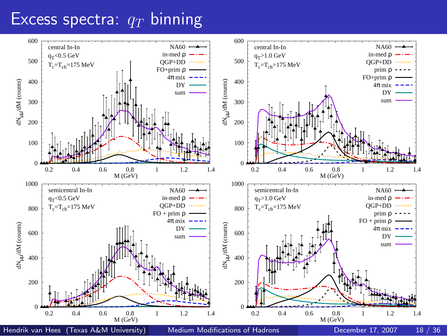### Excess spectra:  $q_T$  binning

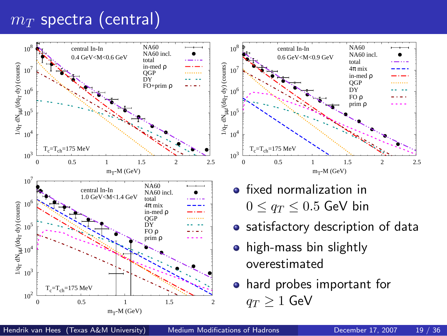# <span id="page-19-0"></span> $m_T$  spectra (central)

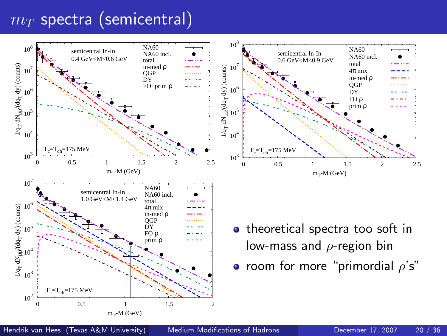### $m_T$  spectra (semicentral)

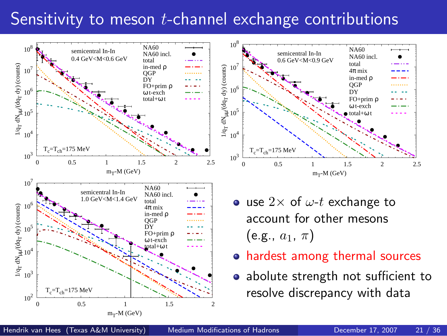# Sensitivity to meson *t*-channel exchange contributions

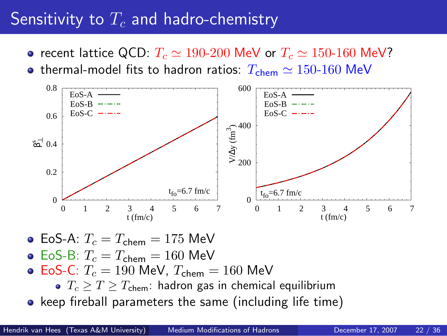# Sensitivity to  $T_c$  and hadro-chemistry

- recent lattice QCD:  $T_c \simeq 190{\text -}200$  MeV or  $T_c \simeq 150{\text -}160$  MeV?
- thermal-model fits to hadron ratios:  $T_{chem} \simeq 150{\text -}160 \text{ MeV}$



- EoS-A:  $T_c = T_{\text{chem}} = 175 \text{ MeV}$
- $\bullet$  EoS-B:  $T_c = T_{chem} = 160$  MeV
- EoS-C:  $T_c = 190$  MeV,  $T_{chem} = 160$  MeV
	- $T_c > T > T_{\text{chem}}$ : hadron gas in chemical equilibrium
- <span id="page-22-0"></span>• keep fireball parameters the same (including life time)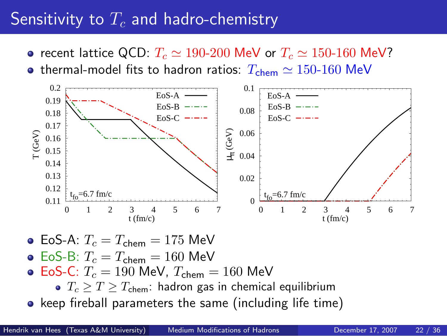# Sensitivity to  $T_c$  and hadro-chemistry

- recent lattice QCD:  $T_c \simeq 190{\text -}200$  MeV or  $T_c \simeq 150{\text -}160$  MeV?
- thermal-model fits to hadron ratios:  $T_{chem} \simeq 150{\text -}160 \text{ MeV}$



- EoS-A:  $T_c = T_{\text{chem}} = 175 \text{ MeV}$
- $\bullet$  EoS-B:  $T_c = T_{\rm chem} = 160$  MeV
- EoS-C:  $T_c = 190$  MeV,  $T_{chem} = 160$  MeV
	- $T_c > T > T_{\text{chem}}$ : hadron gas in chemical equilibrium
- keep fireball parameters the same (including life time)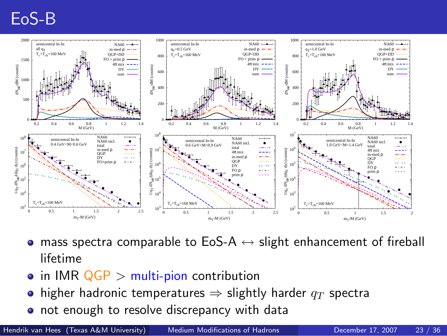# EoS-B



- mass spectra comparable to EoS-A  $\leftrightarrow$  slight enhancement of fireball lifetime
- $\bullet$  in IMR  $QGP$  > multi-pion contribution
- higher hadronic temperatures  $\Rightarrow$  slightly harder  $q_T$  spectra  $\bullet$
- not enough to resolve discrepancy with data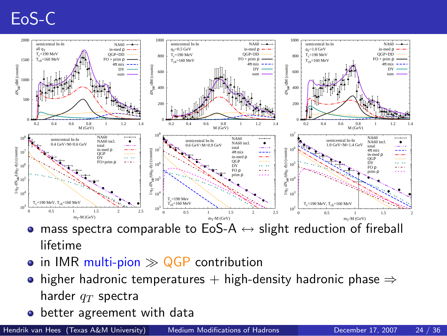# EoS-C



- mass spectra comparable to EoS-A  $\leftrightarrow$  slight reduction of fireball lifetime
- $\bullet$  in IMR multi-pion  $\gg$  QGP contribution
- higher hadronic temperatures + high-density hadronic phase  $\Rightarrow$ harder  $q_T$  spectra
- better agreement with data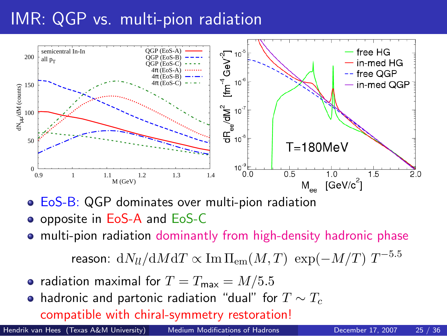# IMR: QGP vs. multi-pion radiation



- **EoS-B: QGP** dominates over multi-pion radiation
- **o** opposite in EoS-A and EoS-C
- multi-pion radiation dominantly from high-density hadronic phase

reason:  $\mathrm{d} N_{ll}/\mathrm{d} M \mathrm{d} T \propto \mathrm{Im}\,\Pi_{\mathrm{em}}(M,T)\; \exp(-M/T)\; T^{-5.5}$ 

- radiation maximal for  $T = T_{\text{max}} = M/5.5$
- hadronic and partonic radiation "dual" for  $T \sim T_c$

compatible with chiral-symmetry restoration!

inconclusive whether [hadronic or partonic e](#page-0-0)mission in IMR! Hendrik van Hees (Texas A&M University) Medium Modifications of Hadrons December 17, 2007 25 / 36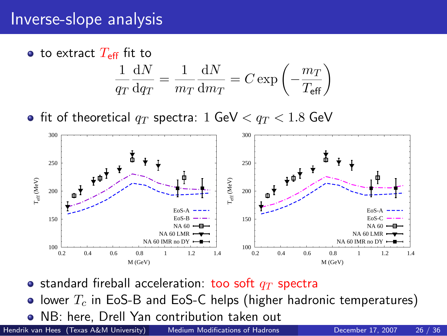### Inverse-slope analysis



• fit of theoretical  $q_T$  spectra: 1 GeV  $< q_T < 1.8$  GeV



• standard fireball acceleration: too soft  $q_T$  spectra

• lower  $T_c$  in EoS-B and EoS-C helps (higher hadronic temperatures)

NB: here, Drell Yan contribution taken out

Hendrik van Hees (Texas A&M University) [Medium Modifications of Hadrons](#page-0-0) December 17, 2007 26 / 36

<span id="page-27-0"></span>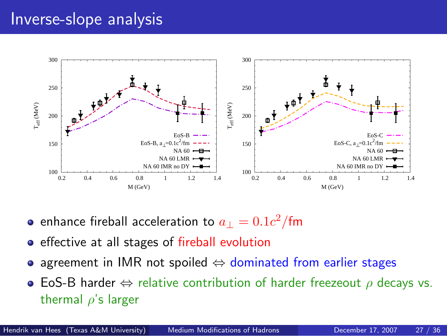### Inverse-slope analysis



- enhance fireball acceleration to  $a_\perp=0.1c^2/\text{fm}$
- **•** effective at all stages of fireball evolution
- agreement in IMR not spoiled  $\Leftrightarrow$  dominated from earlier stages
- **EoS-B harder**  $\Leftrightarrow$  relative contribution of harder freezeout  $\rho$  decays vs. thermal  $\rho$ 's larger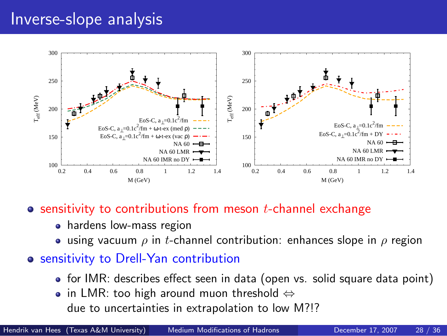### Inverse-slope analysis



 $\bullet$  sensitivity to contributions from meson t-channel exchange

- hardens low-mass region
- **using vacuum**  $\rho$  in t-channel contribution: enhances slope in  $\rho$  region
- o sensitivity to Drell-Yan contribution
	- for IMR: describes effect seen in data (open vs. solid square data point)
	- in LMR: too high around muon threshold  $\Leftrightarrow$ due to uncertainties in extrapolation to low M?!?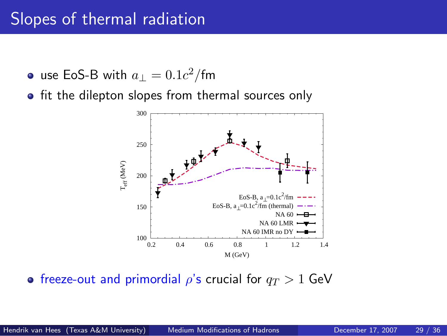### Slopes of thermal radiation

- use EoS-B with  $a_\perp=0.1c^2/\text{fm}$
- **•** fit the dilepton slopes from thermal sources only



**•** freeze-out and primordial  $\rho$ 's crucial for  $q_T > 1$  GeV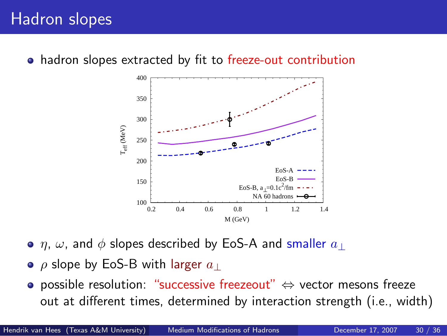hadron slopes extracted by fit to freeze-out contribution



- $\eta$ ,  $\omega$ , and  $\phi$  slopes described by EoS-A and smaller  $a_{\perp}$
- $\rho$  slope by EoS-B with larger  $a_{\perp}$
- possible resolution: "successive freezeout" ⇔ vector mesons freeze out at different times, determined by interaction strength (i.e., width)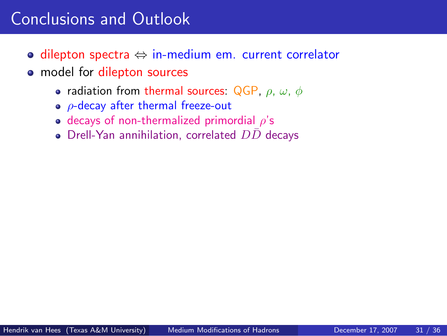# Conclusions and Outlook

- dilepton spectra ⇔ in-medium em. current correlator
- <span id="page-32-0"></span>• model for dilepton sources
	- radiation from thermal sources: QGP,  $\rho$ ,  $\omega$ ,  $\phi$
	- $\bullet$   $\rho$ -decay after thermal freeze-out
	- e decays of non-thermalized primordial  $\rho$ 's
	- $\bullet$  Drell-Yan annihilation, correlated  $D\bar{D}$  decays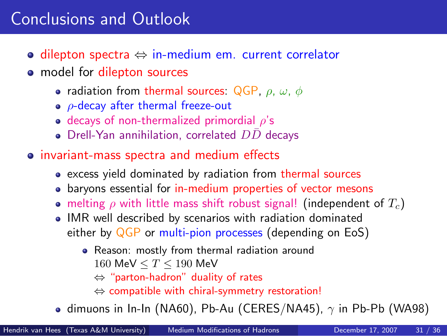# Conclusions and Outlook

- dilepton spectra ⇔ in-medium em. current correlator
- model for dilepton sources
	- radiation from thermal sources: QGP,  $\rho$ ,  $\omega$ ,  $\phi$
	- $\bullet$   $\rho$ -decay after thermal freeze-out
	- e decays of non-thermalized primordial  $\rho$ 's
	- $\bullet$  Drell-Yan annihilation, correlated  $D\bar{D}$  decays
- invariant-mass spectra and medium effects
	- excess yield dominated by radiation from thermal sources
	- baryons essential for in-medium properties of vector mesons
	- **•** melting  $\rho$  with little mass shift robust signal! (independent of  $T_c$ )
	- IMR well described by scenarios with radiation dominated either by QGP or multi-pion processes (depending on EoS)
		- Reason: mostly from thermal radiation around 160 MeV  $\leq T \leq 190$  MeV
			- ⇔ "parton-hadron" duality of rates
			- ⇔ compatible with chiral-symmetry restoration!
	- **o** dimuons in In-In (NA60), Pb-Au (CERES/NA45),  $\gamma$  in Pb-Pb (WA98)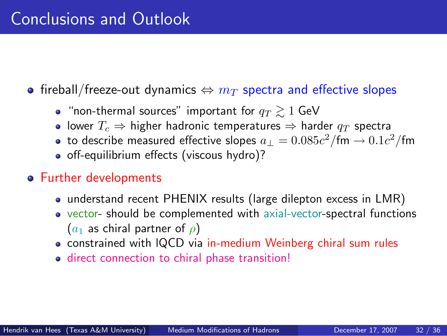# Conclusions and Outlook

- fireball/freeze-out dynamics  $\Leftrightarrow m_T$  spectra and effective slopes
	- "non-thermal sources" important for  $q_T \geq 1$  GeV
	- lower  $T_c$  ⇒ higher hadronic temperatures ⇒ harder  $q_T$  spectra
	- to describe measured effective slopes  $a_\perp=0.085c^2/\text{fm} \rightarrow 0.1c^2/\text{fm}$
	- off-equilibrium effects (viscous hydro)?
- Further developments
	- understand recent PHENIX results (large dilepton excess in LMR)
	- vector- should be complemented with axial-vector-spectral functions  $(a_1$  as chiral partner of  $\rho$ )
	- constrained with IQCD via in-medium Weinberg chiral sum rules
	- direct connection to chiral phase transition!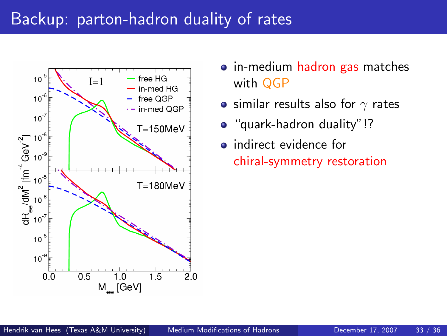### Backup: parton-hadron duality of rates



- in-medium hadron gas matches with QGP
- similar results also for  $\gamma$  rates
- "quark-hadron duality"!?
- <span id="page-35-0"></span>**•** indirect evidence for chiral-symmetry restoration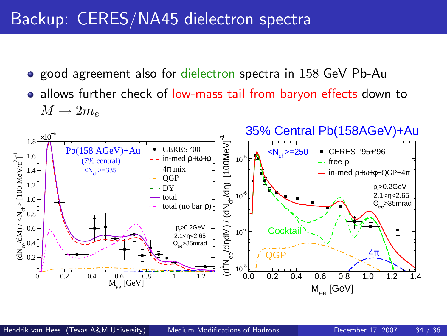### Backup: CERES/NA45 dielectron spectra

- **o** good agreement also for dielectron spectra in 158 GeV Pb-Au
- allows further check of low-mass tail from baryon effects down to  $M \to 2m_e$

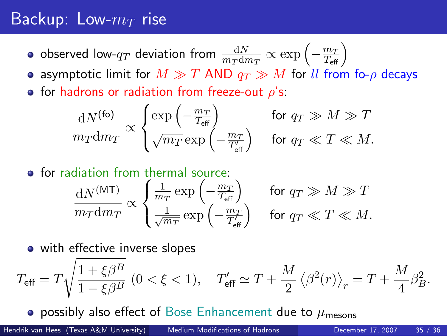### Backup: Low- $m_T$  rise

- observed low- $q_T$  deviation from  $\frac{{\rm d}N}{m_T {\rm d}m_T} \propto \exp{\left(-\frac{m_T}{T_{\rm eff}}\right)}$
- **•** asymptotic limit for  $M \gg T$  AND  $q_T \gg M$  for ll from fo- $\rho$  decays
- **•** for hadrons or radiation from freeze-out  $\rho$ 's:

$$
\frac{dN^{(\text{fo})}}{m_T dm_T} \propto \begin{cases} \exp\left(-\frac{m_T}{T_{\text{eff}}}\right) & \text{for } q_T \gg M \gg T \\ \sqrt{m_T} \exp\left(-\frac{m_T}{T_{\text{eff}}'}\right) & \text{for } q_T \ll T \ll M. \end{cases}
$$

**o** for radiation from thermal source:

$$
\frac{\mathrm{d}N^{(\mathsf{MT})}}{m_T \mathrm{d}m_T} \propto \begin{cases} \frac{1}{m_T} \exp\left(-\frac{m_T}{T_{\text{eff}}}\right) & \text{for } q_T \gg M \gg T\\ \frac{1}{\sqrt{m_T}} \exp\left(-\frac{m_T}{T_{\text{eff}}'}\right) & \text{for } q_T \ll T \ll M. \end{cases}
$$

• with effective inverse slopes

$$
T_{\rm eff}=T\sqrt{\frac{1+\xi\beta^B}{1-\xi\beta^B}}\ \left(0<\xi<1\right),\quad T_{\rm eff}'\simeq T+\frac{M}{2}\left\langle \beta^2(r)\right\rangle_r=T+\frac{M}{4}\beta_B^2.
$$

**• possibly also effect of Bose Enhancement due to**  $\mu_{\text{mesons}}$